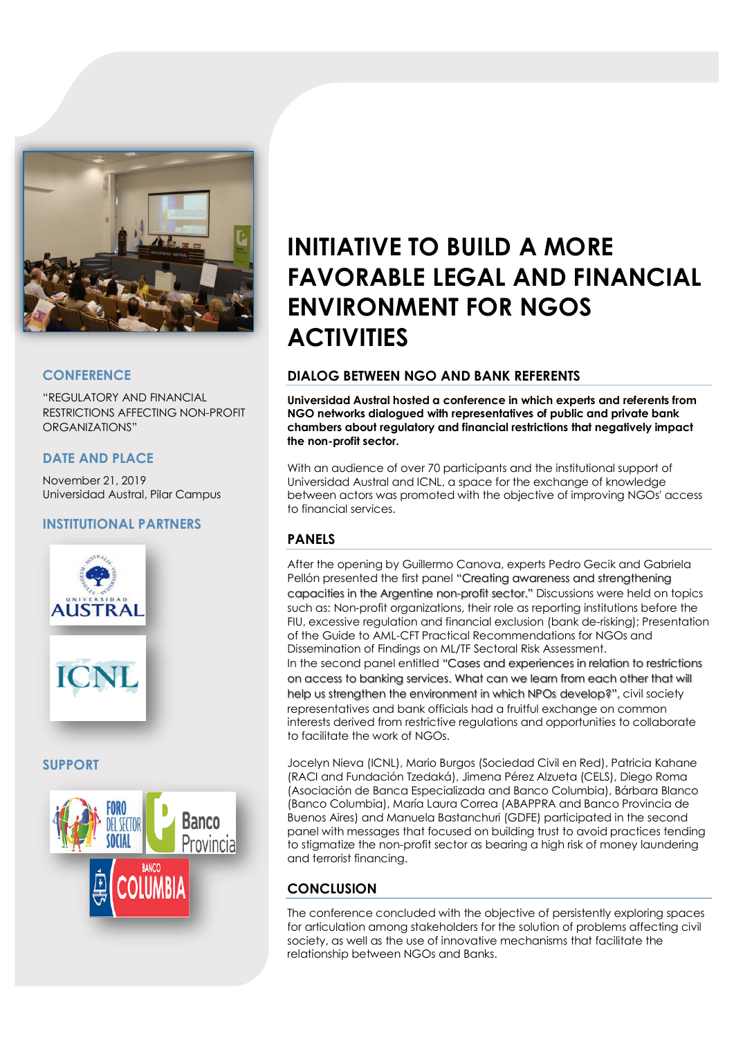

## **CONFERENCE**

"REGULATORY AND FINANCIAL RESTRICTIONS AFFECTING NON-PROFIT ORGANIZATIONS"

## **DATE AND PLACE**

November 21, 2019 Universidad Austral, Pilar Campus

# **INSTITUTIONAL PARTNERS**



### **SUPPORT**



# **INITIATIVE TO BUILD A MORE FAVORABLE LEGAL AND FINANCIAL ENVIRONMENT FOR NGOS ACTIVITIES**

### **DIALOG BETWEEN NGO AND BANK REFERENTS**

**Universidad Austral hosted a conference in which experts and referents from NGO networks dialogued with representatives of public and private bank chambers about regulatory and financial restrictions that negatively impact the non-profit sector.**

With an audience of over 70 participants and the institutional support of Universidad Austral and ICNL, a space for the exchange of knowledge between actors was promoted with the objective of improving NGOs' access to financial services.

# **PANELS**

After the opening by Guillermo Canova, experts Pedro Gecik and Gabriela Pellón presented the first panel "Creating awareness and strengthening capacities in the Argentine non-profit sector." Discussions were held on topics such as: Non-profit organizations, their role as reporting institutions before the FIU, excessive regulation and financial exclusion (bank de-risking); Presentation of the Guide to AML-CFT Practical Recommendations for NGOs and Dissemination of Findings on ML/TF Sectoral Risk Assessment.

In the second panel entitled "Cases and experiences in relation to restrictions on access to banking services. What can we learn from each other that will help us strengthen the environment in which NPOs develop?", civil society representatives and bank officials had a fruitful exchange on common interests derived from restrictive regulations and opportunities to collaborate to facilitate the work of NGOs.

Jocelyn Nieva (ICNL), Mario Burgos (Sociedad Civil en Red), Patricia Kahane (RACI and Fundación Tzedaká), Jimena Pérez Alzueta (CELS), Diego Roma (Asociación de Banca Especializada and Banco Columbia), Bárbara Blanco (Banco Columbia), María Laura Correa (ABAPPRA and Banco Provincia de Buenos Aires) and Manuela Bastanchuri (GDFE) participated in the second panel with messages that focused on building trust to avoid practices tending to stigmatize the non-profit sector as bearing a high risk of money laundering and terrorist financing.

# **CONCLUSION**

The conference concluded with the objective of persistently exploring spaces for articulation among stakeholders for the solution of problems affecting civil society, as well as the use of innovative mechanisms that facilitate the relationship between NGOs and Banks.